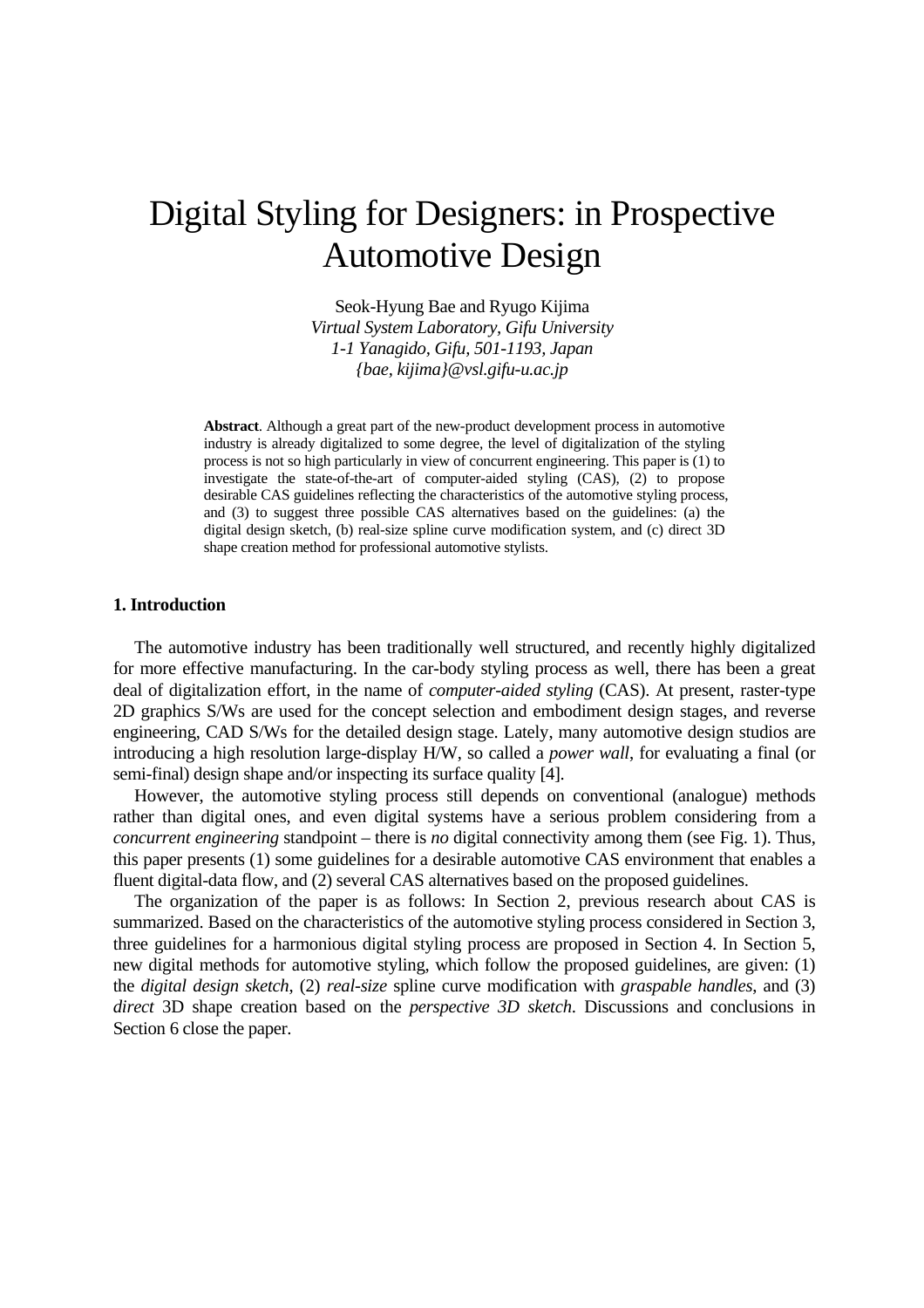# Digital Styling for Designers: in Prospective Automotive Design

Seok-Hyung Bae and Ryugo Kijima *Virtual System Laboratory, Gifu University 1-1 Yanagido, Gifu, 501-1193, Japan {bae, kijima}@vsl.gifu-u.ac.jp* 

**Abstract**. Although a great part of the new-product development process in automotive industry is already digitalized to some degree, the level of digitalization of the styling process is not so high particularly in view of concurrent engineering. This paper is (1) to investigate the state-of-the-art of computer-aided styling (CAS), (2) to propose desirable CAS guidelines reflecting the characteristics of the automotive styling process, and (3) to suggest three possible CAS alternatives based on the guidelines: (a) the digital design sketch, (b) real-size spline curve modification system, and (c) direct 3D shape creation method for professional automotive stylists.

#### **1. Introduction**

 The automotive industry has been traditionally well structured, and recently highly digitalized for more effective manufacturing. In the car-body styling process as well, there has been a great deal of digitalization effort, in the name of *computer-aided styling* (CAS). At present, raster-type 2D graphics S/Ws are used for the concept selection and embodiment design stages, and reverse engineering, CAD S/Ws for the detailed design stage. Lately, many automotive design studios are introducing a high resolution large-display H/W, so called a *power wall*, for evaluating a final (or semi-final) design shape and/or inspecting its surface quality [4].

 However, the automotive styling process still depends on conventional (analogue) methods rather than digital ones, and even digital systems have a serious problem considering from a *concurrent engineering* standpoint – there is *no* digital connectivity among them (see Fig. 1). Thus, this paper presents (1) some guidelines for a desirable automotive CAS environment that enables a fluent digital-data flow, and (2) several CAS alternatives based on the proposed guidelines.

 The organization of the paper is as follows: In Section 2, previous research about CAS is summarized. Based on the characteristics of the automotive styling process considered in Section 3, three guidelines for a harmonious digital styling process are proposed in Section 4. In Section 5, new digital methods for automotive styling, which follow the proposed guidelines, are given: (1) the *digital design sketch*, (2) *real-size* spline curve modification with *graspable handles*, and (3) *direct* 3D shape creation based on the *perspective 3D sketch*. Discussions and conclusions in Section 6 close the paper.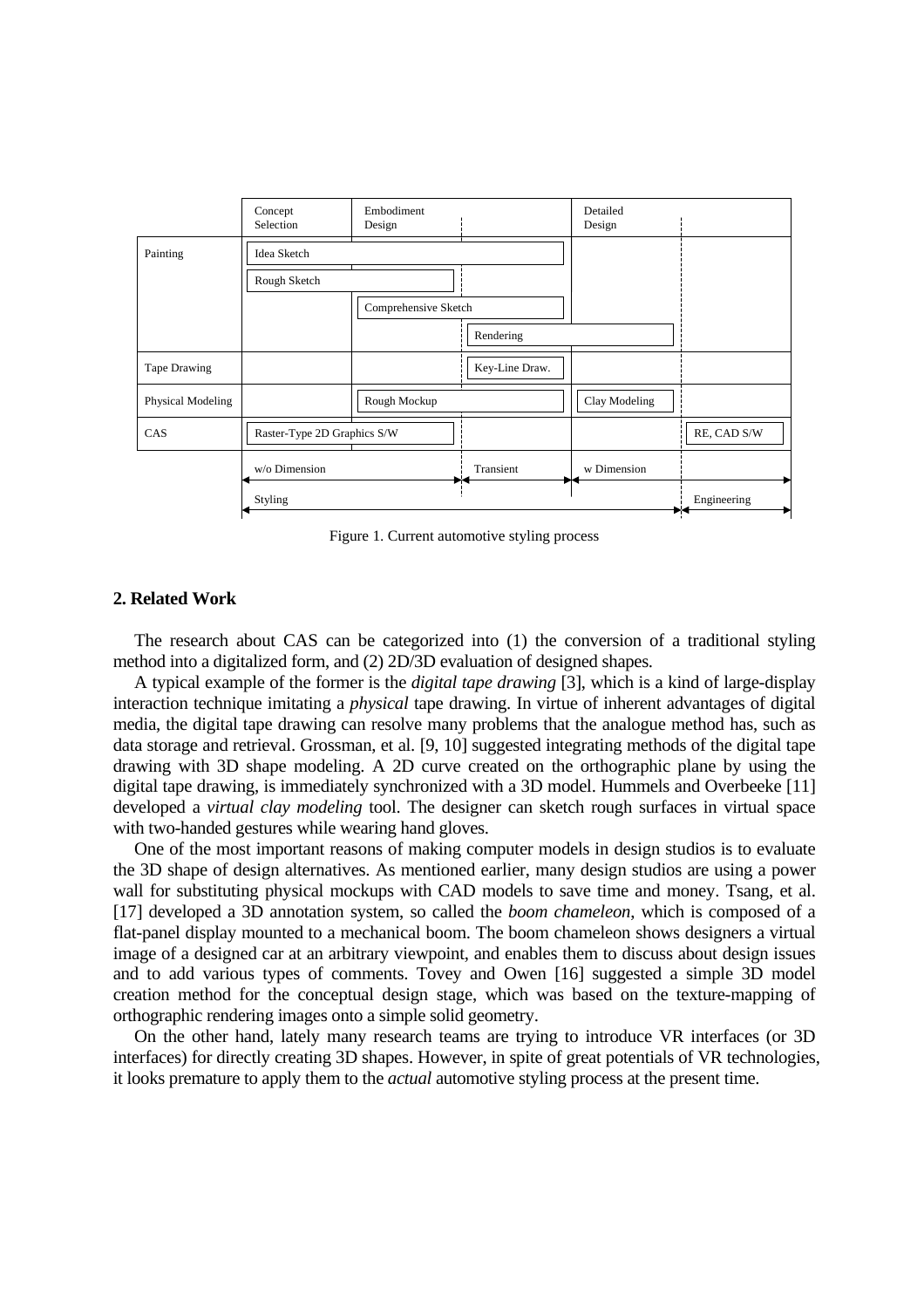

Figure 1. Current automotive styling process

# **2. Related Work**

 The research about CAS can be categorized into (1) the conversion of a traditional styling method into a digitalized form, and (2) 2D/3D evaluation of designed shapes.

 A typical example of the former is the *digital tape drawing* [3], which is a kind of large-display interaction technique imitating a *physical* tape drawing. In virtue of inherent advantages of digital media, the digital tape drawing can resolve many problems that the analogue method has, such as data storage and retrieval. Grossman, et al. [9, 10] suggested integrating methods of the digital tape drawing with 3D shape modeling. A 2D curve created on the orthographic plane by using the digital tape drawing, is immediately synchronized with a 3D model. Hummels and Overbeeke [11] developed a *virtual clay modeling* tool. The designer can sketch rough surfaces in virtual space with two-handed gestures while wearing hand gloves.

 One of the most important reasons of making computer models in design studios is to evaluate the 3D shape of design alternatives. As mentioned earlier, many design studios are using a power wall for substituting physical mockups with CAD models to save time and money. Tsang, et al. [17] developed a 3D annotation system, so called the *boom chameleon*, which is composed of a flat-panel display mounted to a mechanical boom. The boom chameleon shows designers a virtual image of a designed car at an arbitrary viewpoint, and enables them to discuss about design issues and to add various types of comments. Tovey and Owen [16] suggested a simple 3D model creation method for the conceptual design stage, which was based on the texture-mapping of orthographic rendering images onto a simple solid geometry.

 On the other hand, lately many research teams are trying to introduce VR interfaces (or 3D interfaces) for directly creating 3D shapes. However, in spite of great potentials of VR technologies, it looks premature to apply them to the *actual* automotive styling process at the present time.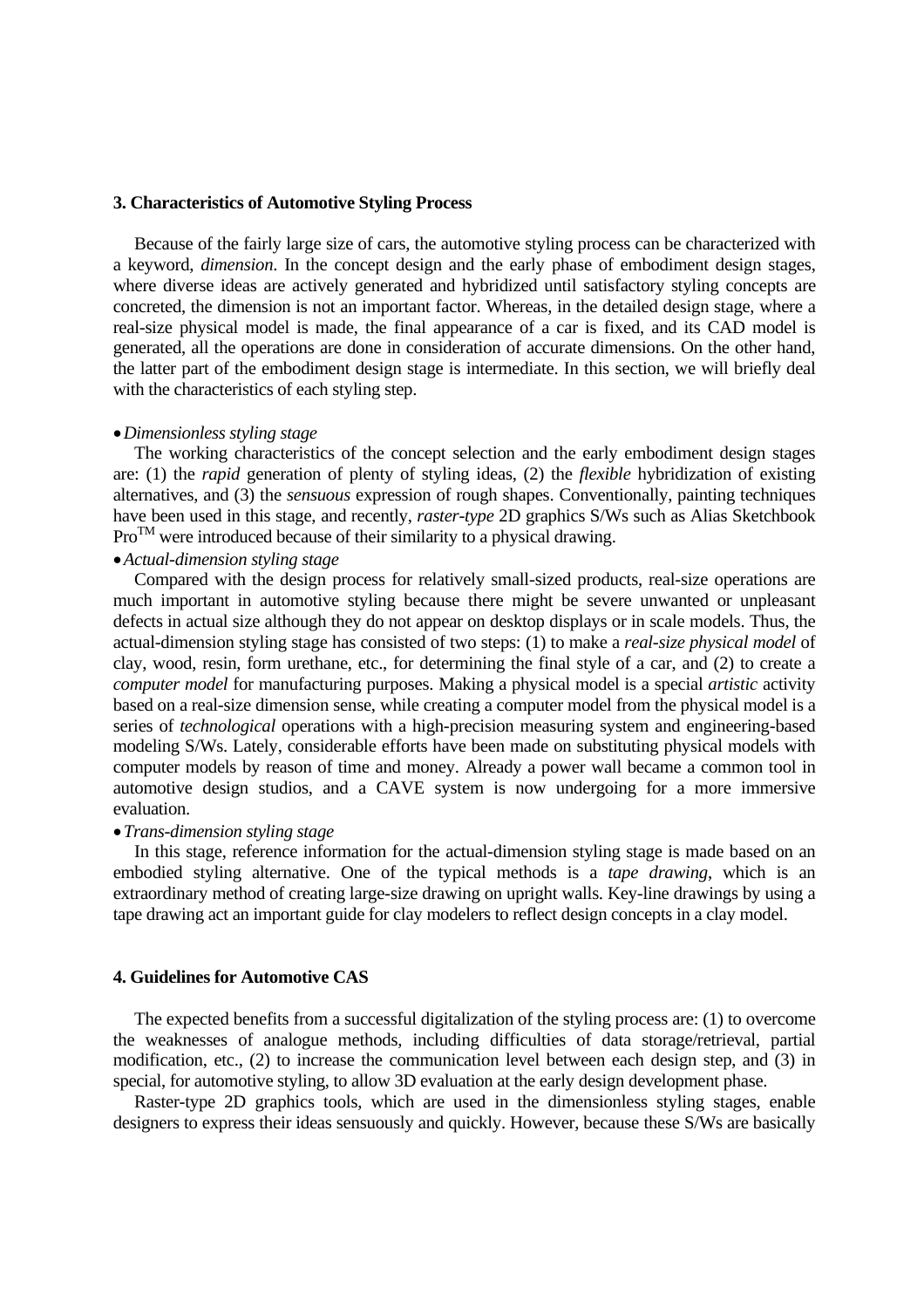# **3. Characteristics of Automotive Styling Process**

 Because of the fairly large size of cars, the automotive styling process can be characterized with a keyword, *dimension*. In the concept design and the early phase of embodiment design stages, where diverse ideas are actively generated and hybridized until satisfactory styling concepts are concreted, the dimension is not an important factor. Whereas, in the detailed design stage, where a real-size physical model is made, the final appearance of a car is fixed, and its CAD model is generated, all the operations are done in consideration of accurate dimensions. On the other hand, the latter part of the embodiment design stage is intermediate. In this section, we will briefly deal with the characteristics of each styling step.

#### •*Dimensionless styling stage*

 The working characteristics of the concept selection and the early embodiment design stages are: (1) the *rapid* generation of plenty of styling ideas, (2) the *flexible* hybridization of existing alternatives, and (3) the *sensuous* expression of rough shapes. Conventionally, painting techniques have been used in this stage, and recently, *raster-type* 2D graphics S/Ws such as Alias Sketchbook  $Pro^{TM}$  were introduced because of their similarity to a physical drawing.

### •*Actual-dimension styling stage*

 Compared with the design process for relatively small-sized products, real-size operations are much important in automotive styling because there might be severe unwanted or unpleasant defects in actual size although they do not appear on desktop displays or in scale models. Thus, the actual-dimension styling stage has consisted of two steps: (1) to make a *real-size physical model* of clay, wood, resin, form urethane, etc., for determining the final style of a car, and (2) to create a *computer model* for manufacturing purposes. Making a physical model is a special *artistic* activity based on a real-size dimension sense, while creating a computer model from the physical model is a series of *technological* operations with a high-precision measuring system and engineering-based modeling S/Ws. Lately, considerable efforts have been made on substituting physical models with computer models by reason of time and money. Already a power wall became a common tool in automotive design studios, and a CAVE system is now undergoing for a more immersive evaluation.

### •*Trans-dimension styling stage*

 In this stage, reference information for the actual-dimension styling stage is made based on an embodied styling alternative. One of the typical methods is a *tape drawing*, which is an extraordinary method of creating large-size drawing on upright walls. Key-line drawings by using a tape drawing act an important guide for clay modelers to reflect design concepts in a clay model.

### **4. Guidelines for Automotive CAS**

 The expected benefits from a successful digitalization of the styling process are: (1) to overcome the weaknesses of analogue methods, including difficulties of data storage/retrieval, partial modification, etc., (2) to increase the communication level between each design step, and (3) in special, for automotive styling, to allow 3D evaluation at the early design development phase.

 Raster-type 2D graphics tools, which are used in the dimensionless styling stages, enable designers to express their ideas sensuously and quickly. However, because these S/Ws are basically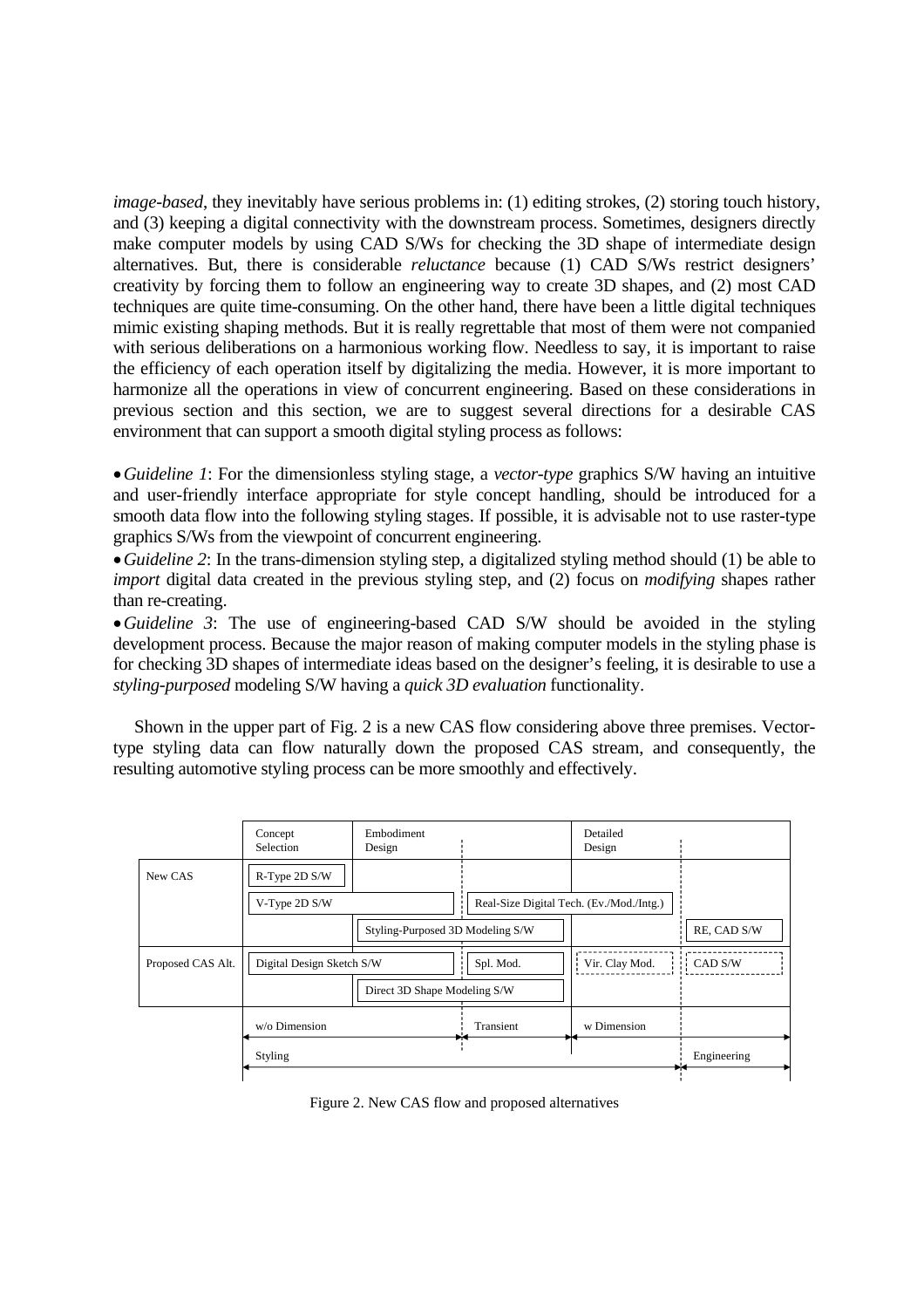*image-based*, they inevitably have serious problems in: (1) editing strokes, (2) storing touch history, and (3) keeping a digital connectivity with the downstream process. Sometimes, designers directly make computer models by using CAD S/Ws for checking the 3D shape of intermediate design alternatives. But, there is considerable *reluctance* because (1) CAD S/Ws restrict designers' creativity by forcing them to follow an engineering way to create 3D shapes, and (2) most CAD techniques are quite time-consuming. On the other hand, there have been a little digital techniques mimic existing shaping methods. But it is really regrettable that most of them were not companied with serious deliberations on a harmonious working flow. Needless to say, it is important to raise the efficiency of each operation itself by digitalizing the media. However, it is more important to harmonize all the operations in view of concurrent engineering. Based on these considerations in previous section and this section, we are to suggest several directions for a desirable CAS environment that can support a smooth digital styling process as follows:

•*Guideline 1*: For the dimensionless styling stage, a *vector-type* graphics S/W having an intuitive and user-friendly interface appropriate for style concept handling, should be introduced for a smooth data flow into the following styling stages. If possible, it is advisable not to use raster-type graphics S/Ws from the viewpoint of concurrent engineering.

•*Guideline 2*: In the trans-dimension styling step, a digitalized styling method should (1) be able to *import* digital data created in the previous styling step, and (2) focus on *modifying* shapes rather than re-creating.

•*Guideline 3*: The use of engineering-based CAD S/W should be avoided in the styling development process. Because the major reason of making computer models in the styling phase is for checking 3D shapes of intermediate ideas based on the designer's feeling, it is desirable to use a *styling-purposed* modeling S/W having a *quick 3D evaluation* functionality.

 Shown in the upper part of Fig. 2 is a new CAS flow considering above three premises. Vectortype styling data can flow naturally down the proposed CAS stream, and consequently, the resulting automotive styling process can be more smoothly and effectively.

|                   | Concept<br><b>Selection</b> | Embodiment<br>Design             |           | Detailed<br>Design                       |             |
|-------------------|-----------------------------|----------------------------------|-----------|------------------------------------------|-------------|
| New CAS           | R-Type 2D S/W               |                                  |           |                                          |             |
|                   | V-Type 2D S/W               |                                  |           | Real-Size Digital Tech. (Ev./Mod./Intg.) |             |
|                   |                             | Styling-Purposed 3D Modeling S/W |           |                                          | RE, CAD S/W |
| Proposed CAS Alt. | Digital Design Sketch S/W   |                                  | Spl. Mod. | Vir. Clay Mod.                           | $CAD$ S/W   |
|                   |                             | Direct 3D Shape Modeling S/W     |           |                                          |             |
|                   | w/o Dimension               |                                  | Transient | w Dimension                              |             |
|                   | Styling                     |                                  |           |                                          | Engineering |
|                   |                             |                                  |           |                                          |             |

Figure 2. New CAS flow and proposed alternatives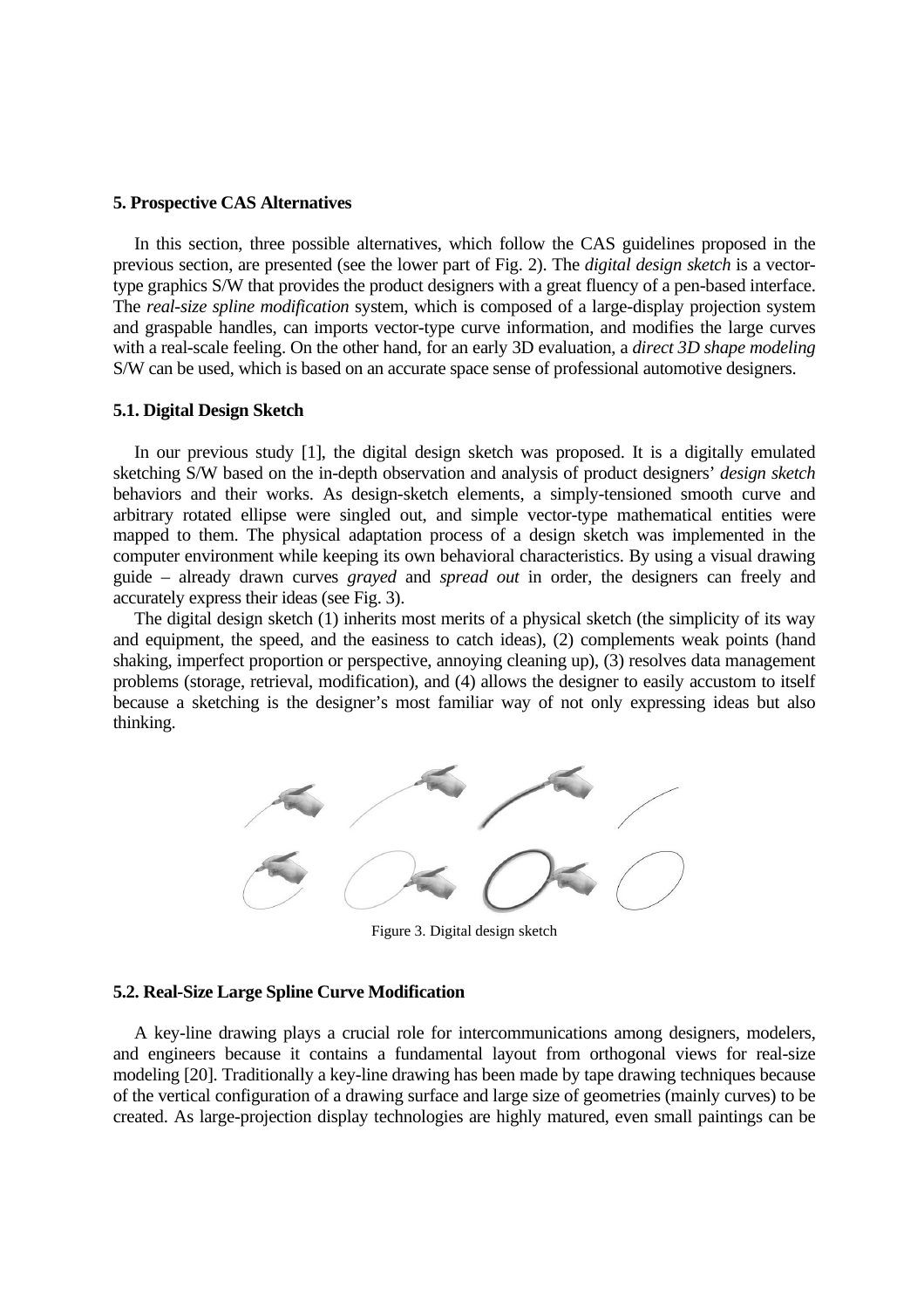# **5. Prospective CAS Alternatives**

 In this section, three possible alternatives, which follow the CAS guidelines proposed in the previous section, are presented (see the lower part of Fig. 2). The *digital design sketch* is a vectortype graphics S/W that provides the product designers with a great fluency of a pen-based interface. The *real-size spline modification* system, which is composed of a large-display projection system and graspable handles, can imports vector-type curve information, and modifies the large curves with a real-scale feeling. On the other hand, for an early 3D evaluation, a *direct 3D shape modeling* S/W can be used, which is based on an accurate space sense of professional automotive designers.

#### **5.1. Digital Design Sketch**

 In our previous study [1], the digital design sketch was proposed. It is a digitally emulated sketching S/W based on the in-depth observation and analysis of product designers' *design sketch* behaviors and their works. As design-sketch elements, a simply-tensioned smooth curve and arbitrary rotated ellipse were singled out, and simple vector-type mathematical entities were mapped to them. The physical adaptation process of a design sketch was implemented in the computer environment while keeping its own behavioral characteristics. By using a visual drawing guide – already drawn curves *grayed* and *spread out* in order, the designers can freely and accurately express their ideas (see Fig. 3).

 The digital design sketch (1) inherits most merits of a physical sketch (the simplicity of its way and equipment, the speed, and the easiness to catch ideas), (2) complements weak points (hand shaking, imperfect proportion or perspective, annoying cleaning up), (3) resolves data management problems (storage, retrieval, modification), and (4) allows the designer to easily accustom to itself because a sketching is the designer's most familiar way of not only expressing ideas but also thinking.



Figure 3. Digital design sketch

# **5.2. Real-Size Large Spline Curve Modification**

 A key-line drawing plays a crucial role for intercommunications among designers, modelers, and engineers because it contains a fundamental layout from orthogonal views for real-size modeling [20]. Traditionally a key-line drawing has been made by tape drawing techniques because of the vertical configuration of a drawing surface and large size of geometries (mainly curves) to be created. As large-projection display technologies are highly matured, even small paintings can be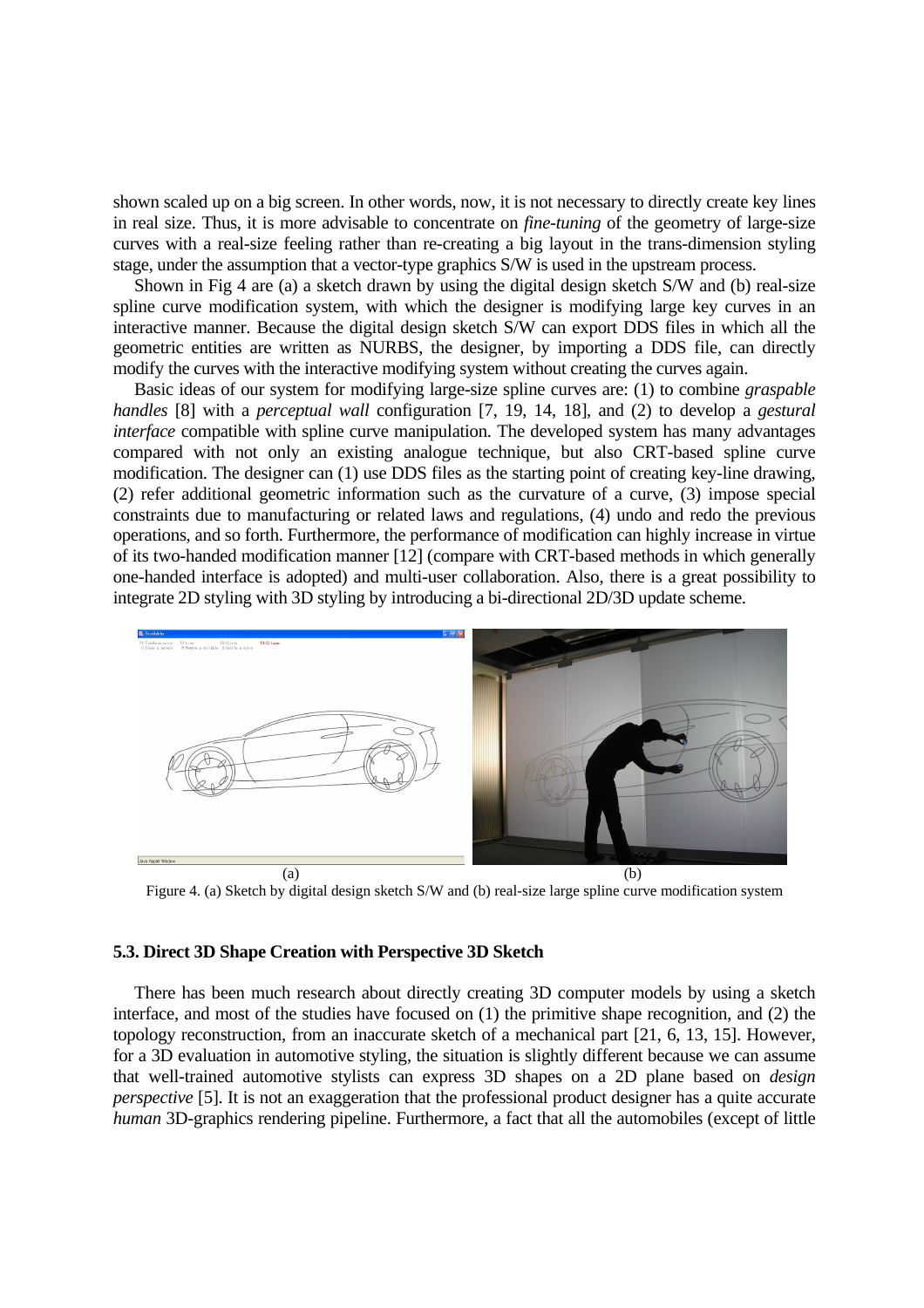shown scaled up on a big screen. In other words, now, it is not necessary to directly create key lines in real size. Thus, it is more advisable to concentrate on *fine-tuning* of the geometry of large-size curves with a real-size feeling rather than re-creating a big layout in the trans-dimension styling stage, under the assumption that a vector-type graphics S/W is used in the upstream process.

 Shown in Fig 4 are (a) a sketch drawn by using the digital design sketch S/W and (b) real-size spline curve modification system, with which the designer is modifying large key curves in an interactive manner. Because the digital design sketch S/W can export DDS files in which all the geometric entities are written as NURBS, the designer, by importing a DDS file, can directly modify the curves with the interactive modifying system without creating the curves again.

 Basic ideas of our system for modifying large-size spline curves are: (1) to combine *graspable handles* [8] with a *perceptual wall* configuration [7, 19, 14, 18], and (2) to develop a *gestural interface* compatible with spline curve manipulation. The developed system has many advantages compared with not only an existing analogue technique, but also CRT-based spline curve modification. The designer can (1) use DDS files as the starting point of creating key-line drawing, (2) refer additional geometric information such as the curvature of a curve, (3) impose special constraints due to manufacturing or related laws and regulations, (4) undo and redo the previous operations, and so forth. Furthermore, the performance of modification can highly increase in virtue of its two-handed modification manner [12] (compare with CRT-based methods in which generally one-handed interface is adopted) and multi-user collaboration. Also, there is a great possibility to integrate 2D styling with 3D styling by introducing a bi-directional 2D/3D update scheme.



Figure 4. (a) Sketch by digital design sketch S/W and (b) real-size large spline curve modification system

### **5.3. Direct 3D Shape Creation with Perspective 3D Sketch**

 There has been much research about directly creating 3D computer models by using a sketch interface, and most of the studies have focused on (1) the primitive shape recognition, and (2) the topology reconstruction, from an inaccurate sketch of a mechanical part [21, 6, 13, 15]. However, for a 3D evaluation in automotive styling, the situation is slightly different because we can assume that well-trained automotive stylists can express 3D shapes on a 2D plane based on *design perspective* [5]. It is not an exaggeration that the professional product designer has a quite accurate *human* 3D-graphics rendering pipeline. Furthermore, a fact that all the automobiles (except of little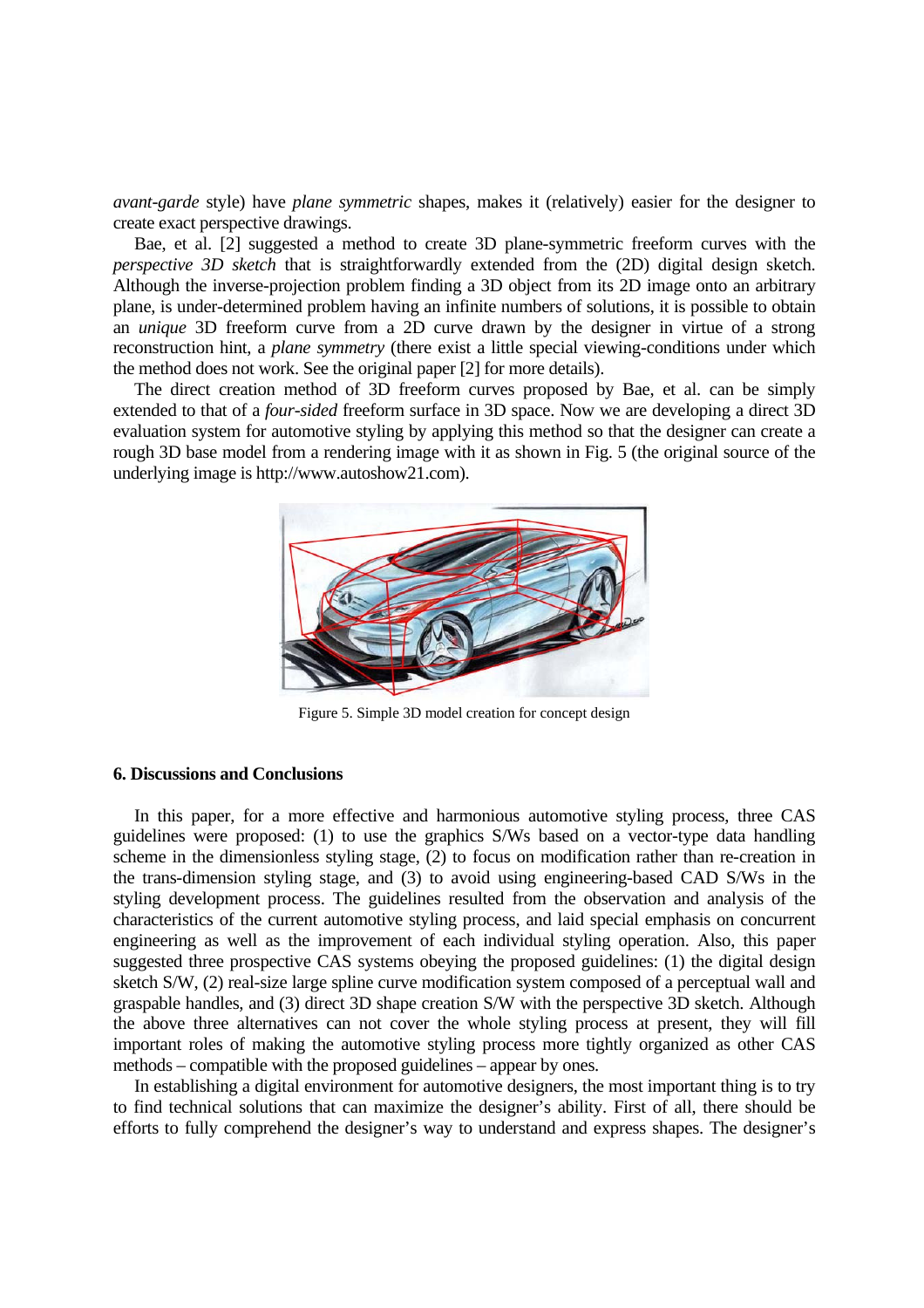*avant-garde* style) have *plane symmetric* shapes, makes it (relatively) easier for the designer to create exact perspective drawings.

 Bae, et al. [2] suggested a method to create 3D plane-symmetric freeform curves with the *perspective 3D sketch* that is straightforwardly extended from the (2D) digital design sketch. Although the inverse-projection problem finding a 3D object from its 2D image onto an arbitrary plane, is under-determined problem having an infinite numbers of solutions, it is possible to obtain an *unique* 3D freeform curve from a 2D curve drawn by the designer in virtue of a strong reconstruction hint, a *plane symmetry* (there exist a little special viewing-conditions under which the method does not work. See the original paper [2] for more details).

 The direct creation method of 3D freeform curves proposed by Bae, et al. can be simply extended to that of a *four-sided* freeform surface in 3D space. Now we are developing a direct 3D evaluation system for automotive styling by applying this method so that the designer can create a rough 3D base model from a rendering image with it as shown in Fig. 5 (the original source of the underlying image is http://www.autoshow21.com).



Figure 5. Simple 3D model creation for concept design

# **6. Discussions and Conclusions**

 In this paper, for a more effective and harmonious automotive styling process, three CAS guidelines were proposed: (1) to use the graphics S/Ws based on a vector-type data handling scheme in the dimensionless styling stage, (2) to focus on modification rather than re-creation in the trans-dimension styling stage, and (3) to avoid using engineering-based CAD S/Ws in the styling development process. The guidelines resulted from the observation and analysis of the characteristics of the current automotive styling process, and laid special emphasis on concurrent engineering as well as the improvement of each individual styling operation. Also, this paper suggested three prospective CAS systems obeying the proposed guidelines: (1) the digital design sketch S/W, (2) real-size large spline curve modification system composed of a perceptual wall and graspable handles, and (3) direct 3D shape creation S/W with the perspective 3D sketch. Although the above three alternatives can not cover the whole styling process at present, they will fill important roles of making the automotive styling process more tightly organized as other CAS methods – compatible with the proposed guidelines – appear by ones.

 In establishing a digital environment for automotive designers, the most important thing is to try to find technical solutions that can maximize the designer's ability. First of all, there should be efforts to fully comprehend the designer's way to understand and express shapes. The designer's